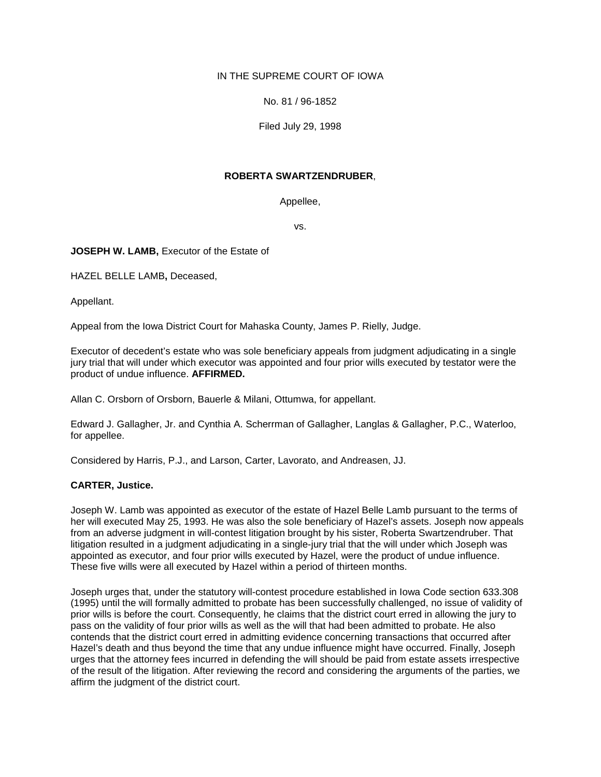## IN THE SUPREME COURT OF IOWA

No. 81 / 96-1852

Filed July 29, 1998

### **ROBERTA SWARTZENDRUBER**,

Appellee,

vs.

**JOSEPH W. LAMB, Executor of the Estate of** 

HAZEL BELLE LAMB**,** Deceased,

Appellant.

Appeal from the Iowa District Court for Mahaska County, James P. Rielly, Judge.

Executor of decedent's estate who was sole beneficiary appeals from judgment adjudicating in a single jury trial that will under which executor was appointed and four prior wills executed by testator were the product of undue influence. **AFFIRMED.**

Allan C. Orsborn of Orsborn, Bauerle & Milani, Ottumwa, for appellant.

Edward J. Gallagher, Jr. and Cynthia A. Scherrman of Gallagher, Langlas & Gallagher, P.C., Waterloo, for appellee.

Considered by Harris, P.J., and Larson, Carter, Lavorato, and Andreasen, JJ.

# **CARTER, Justice.**

Joseph W. Lamb was appointed as executor of the estate of Hazel Belle Lamb pursuant to the terms of her will executed May 25, 1993. He was also the sole beneficiary of Hazel's assets. Joseph now appeals from an adverse judgment in will-contest litigation brought by his sister, Roberta Swartzendruber. That litigation resulted in a judgment adjudicating in a single-jury trial that the will under which Joseph was appointed as executor, and four prior wills executed by Hazel, were the product of undue influence. These five wills were all executed by Hazel within a period of thirteen months.

Joseph urges that, under the statutory will-contest procedure established in Iowa Code section 633.308 (1995) until the will formally admitted to probate has been successfully challenged, no issue of validity of prior wills is before the court. Consequently, he claims that the district court erred in allowing the jury to pass on the validity of four prior wills as well as the will that had been admitted to probate. He also contends that the district court erred in admitting evidence concerning transactions that occurred after Hazel's death and thus beyond the time that any undue influence might have occurred. Finally, Joseph urges that the attorney fees incurred in defending the will should be paid from estate assets irrespective of the result of the litigation. After reviewing the record and considering the arguments of the parties, we affirm the judgment of the district court.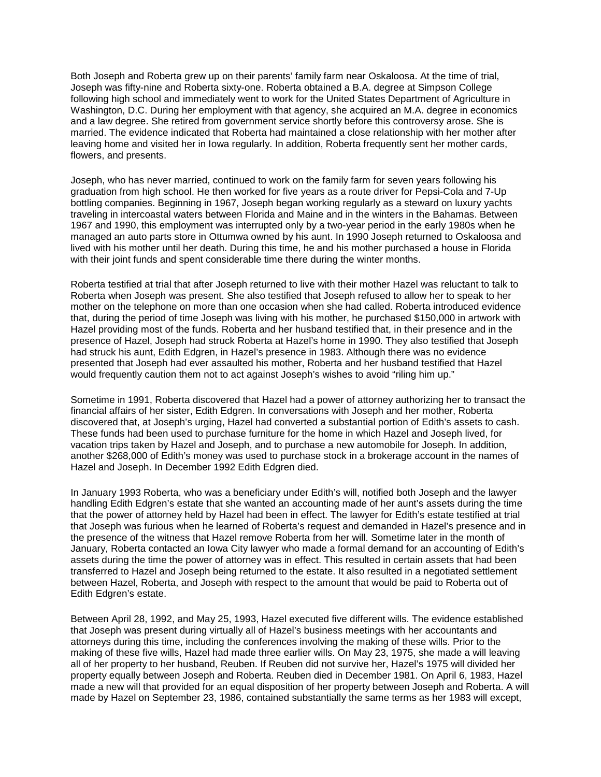Both Joseph and Roberta grew up on their parents' family farm near Oskaloosa. At the time of trial, Joseph was fifty-nine and Roberta sixty-one. Roberta obtained a B.A. degree at Simpson College following high school and immediately went to work for the United States Department of Agriculture in Washington, D.C. During her employment with that agency, she acquired an M.A. degree in economics and a law degree. She retired from government service shortly before this controversy arose. She is married. The evidence indicated that Roberta had maintained a close relationship with her mother after leaving home and visited her in Iowa regularly. In addition, Roberta frequently sent her mother cards, flowers, and presents.

Joseph, who has never married, continued to work on the family farm for seven years following his graduation from high school. He then worked for five years as a route driver for Pepsi-Cola and 7-Up bottling companies. Beginning in 1967, Joseph began working regularly as a steward on luxury yachts traveling in intercoastal waters between Florida and Maine and in the winters in the Bahamas. Between 1967 and 1990, this employment was interrupted only by a two-year period in the early 1980s when he managed an auto parts store in Ottumwa owned by his aunt. In 1990 Joseph returned to Oskaloosa and lived with his mother until her death. During this time, he and his mother purchased a house in Florida with their joint funds and spent considerable time there during the winter months.

Roberta testified at trial that after Joseph returned to live with their mother Hazel was reluctant to talk to Roberta when Joseph was present. She also testified that Joseph refused to allow her to speak to her mother on the telephone on more than one occasion when she had called. Roberta introduced evidence that, during the period of time Joseph was living with his mother, he purchased \$150,000 in artwork with Hazel providing most of the funds. Roberta and her husband testified that, in their presence and in the presence of Hazel, Joseph had struck Roberta at Hazel's home in 1990. They also testified that Joseph had struck his aunt, Edith Edgren, in Hazel's presence in 1983. Although there was no evidence presented that Joseph had ever assaulted his mother, Roberta and her husband testified that Hazel would frequently caution them not to act against Joseph's wishes to avoid "riling him up."

Sometime in 1991, Roberta discovered that Hazel had a power of attorney authorizing her to transact the financial affairs of her sister, Edith Edgren. In conversations with Joseph and her mother, Roberta discovered that, at Joseph's urging, Hazel had converted a substantial portion of Edith's assets to cash. These funds had been used to purchase furniture for the home in which Hazel and Joseph lived, for vacation trips taken by Hazel and Joseph, and to purchase a new automobile for Joseph. In addition, another \$268,000 of Edith's money was used to purchase stock in a brokerage account in the names of Hazel and Joseph. In December 1992 Edith Edgren died.

In January 1993 Roberta, who was a beneficiary under Edith's will, notified both Joseph and the lawyer handling Edith Edgren's estate that she wanted an accounting made of her aunt's assets during the time that the power of attorney held by Hazel had been in effect. The lawyer for Edith's estate testified at trial that Joseph was furious when he learned of Roberta's request and demanded in Hazel's presence and in the presence of the witness that Hazel remove Roberta from her will. Sometime later in the month of January, Roberta contacted an Iowa City lawyer who made a formal demand for an accounting of Edith's assets during the time the power of attorney was in effect. This resulted in certain assets that had been transferred to Hazel and Joseph being returned to the estate. It also resulted in a negotiated settlement between Hazel, Roberta, and Joseph with respect to the amount that would be paid to Roberta out of Edith Edgren's estate.

Between April 28, 1992, and May 25, 1993, Hazel executed five different wills. The evidence established that Joseph was present during virtually all of Hazel's business meetings with her accountants and attorneys during this time, including the conferences involving the making of these wills. Prior to the making of these five wills, Hazel had made three earlier wills. On May 23, 1975, she made a will leaving all of her property to her husband, Reuben. If Reuben did not survive her, Hazel's 1975 will divided her property equally between Joseph and Roberta. Reuben died in December 1981. On April 6, 1983, Hazel made a new will that provided for an equal disposition of her property between Joseph and Roberta. A will made by Hazel on September 23, 1986, contained substantially the same terms as her 1983 will except,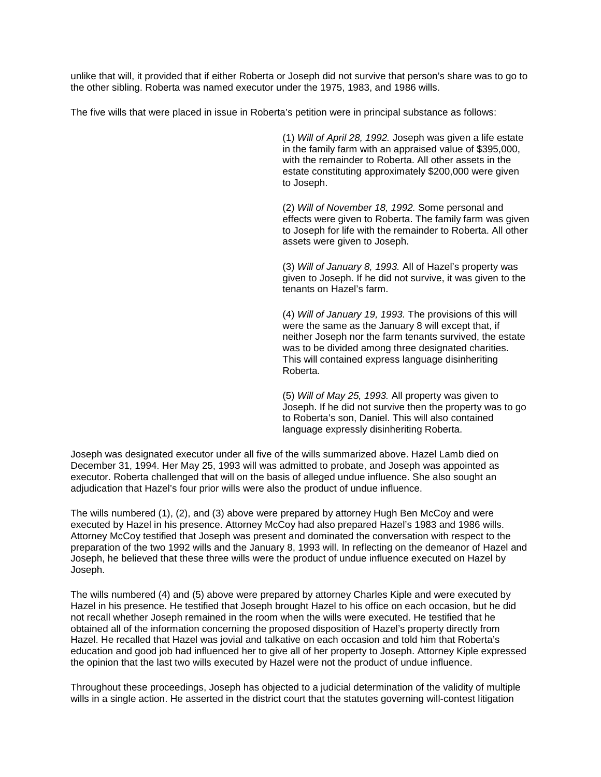unlike that will, it provided that if either Roberta or Joseph did not survive that person's share was to go to the other sibling. Roberta was named executor under the 1975, 1983, and 1986 wills.

The five wills that were placed in issue in Roberta's petition were in principal substance as follows:

(1) *Will of April 28, 1992.* Joseph was given a life estate in the family farm with an appraised value of \$395,000, with the remainder to Roberta. All other assets in the estate constituting approximately \$200,000 were given to Joseph.

(2) *Will of November 18, 1992.* Some personal and effects were given to Roberta. The family farm was given to Joseph for life with the remainder to Roberta. All other assets were given to Joseph.

(3) *Will of January 8, 1993.* All of Hazel's property was given to Joseph. If he did not survive, it was given to the tenants on Hazel's farm.

(4) *Will of January 19, 1993.* The provisions of this will were the same as the January 8 will except that, if neither Joseph nor the farm tenants survived, the estate was to be divided among three designated charities. This will contained express language disinheriting Roberta.

(5) *Will of May 25, 1993.* All property was given to Joseph. If he did not survive then the property was to go to Roberta's son, Daniel. This will also contained language expressly disinheriting Roberta.

Joseph was designated executor under all five of the wills summarized above. Hazel Lamb died on December 31, 1994. Her May 25, 1993 will was admitted to probate, and Joseph was appointed as executor. Roberta challenged that will on the basis of alleged undue influence. She also sought an adjudication that Hazel's four prior wills were also the product of undue influence.

The wills numbered (1), (2), and (3) above were prepared by attorney Hugh Ben McCoy and were executed by Hazel in his presence. Attorney McCoy had also prepared Hazel's 1983 and 1986 wills. Attorney McCoy testified that Joseph was present and dominated the conversation with respect to the preparation of the two 1992 wills and the January 8, 1993 will. In reflecting on the demeanor of Hazel and Joseph, he believed that these three wills were the product of undue influence executed on Hazel by Joseph.

The wills numbered (4) and (5) above were prepared by attorney Charles Kiple and were executed by Hazel in his presence. He testified that Joseph brought Hazel to his office on each occasion, but he did not recall whether Joseph remained in the room when the wills were executed. He testified that he obtained all of the information concerning the proposed disposition of Hazel's property directly from Hazel. He recalled that Hazel was jovial and talkative on each occasion and told him that Roberta's education and good job had influenced her to give all of her property to Joseph. Attorney Kiple expressed the opinion that the last two wills executed by Hazel were not the product of undue influence.

Throughout these proceedings, Joseph has objected to a judicial determination of the validity of multiple wills in a single action. He asserted in the district court that the statutes governing will-contest litigation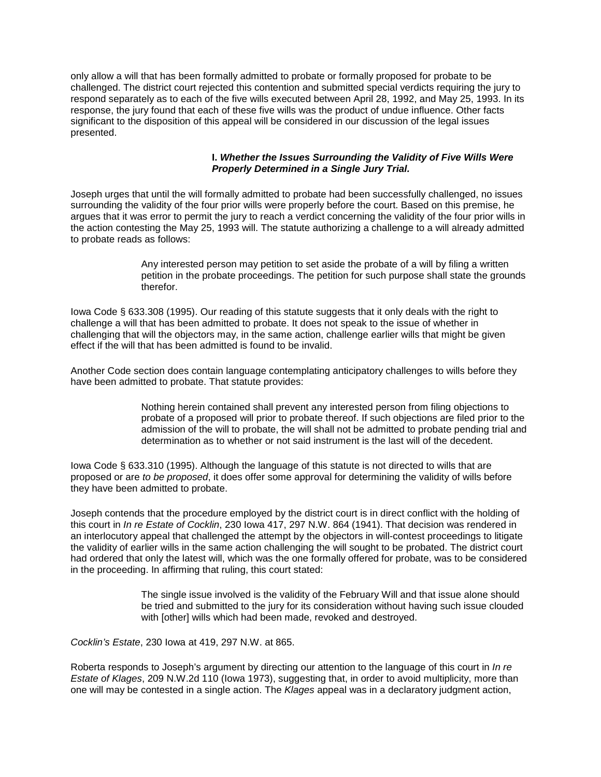only allow a will that has been formally admitted to probate or formally proposed for probate to be challenged. The district court rejected this contention and submitted special verdicts requiring the jury to respond separately as to each of the five wills executed between April 28, 1992, and May 25, 1993. In its response, the jury found that each of these five wills was the product of undue influence. Other facts significant to the disposition of this appeal will be considered in our discussion of the legal issues presented.

#### **I.** *Whether the Issues Surrounding the Validity of Five Wills Were Properly Determined in a Single Jury Trial.*

Joseph urges that until the will formally admitted to probate had been successfully challenged, no issues surrounding the validity of the four prior wills were properly before the court. Based on this premise, he argues that it was error to permit the jury to reach a verdict concerning the validity of the four prior wills in the action contesting the May 25, 1993 will. The statute authorizing a challenge to a will already admitted to probate reads as follows:

> Any interested person may petition to set aside the probate of a will by filing a written petition in the probate proceedings. The petition for such purpose shall state the grounds therefor.

Iowa Code § 633.308 (1995). Our reading of this statute suggests that it only deals with the right to challenge a will that has been admitted to probate. It does not speak to the issue of whether in challenging that will the objectors may, in the same action, challenge earlier wills that might be given effect if the will that has been admitted is found to be invalid.

Another Code section does contain language contemplating anticipatory challenges to wills before they have been admitted to probate. That statute provides:

> Nothing herein contained shall prevent any interested person from filing objections to probate of a proposed will prior to probate thereof. If such objections are filed prior to the admission of the will to probate, the will shall not be admitted to probate pending trial and determination as to whether or not said instrument is the last will of the decedent.

Iowa Code § 633.310 (1995). Although the language of this statute is not directed to wills that are proposed or are *to be proposed*, it does offer some approval for determining the validity of wills before they have been admitted to probate.

Joseph contends that the procedure employed by the district court is in direct conflict with the holding of this court in *In re Estate of Cocklin*, 230 Iowa 417, 297 N.W. 864 (1941). That decision was rendered in an interlocutory appeal that challenged the attempt by the objectors in will-contest proceedings to litigate the validity of earlier wills in the same action challenging the will sought to be probated. The district court had ordered that only the latest will, which was the one formally offered for probate, was to be considered in the proceeding. In affirming that ruling, this court stated:

> The single issue involved is the validity of the February Will and that issue alone should be tried and submitted to the jury for its consideration without having such issue clouded with [other] wills which had been made, revoked and destroyed.

*Cocklin's Estate*, 230 Iowa at 419, 297 N.W. at 865.

Roberta responds to Joseph's argument by directing our attention to the language of this court in *In re Estate of Klages*, 209 N.W.2d 110 (Iowa 1973), suggesting that, in order to avoid multiplicity, more than one will may be contested in a single action. The *Klages* appeal was in a declaratory judgment action,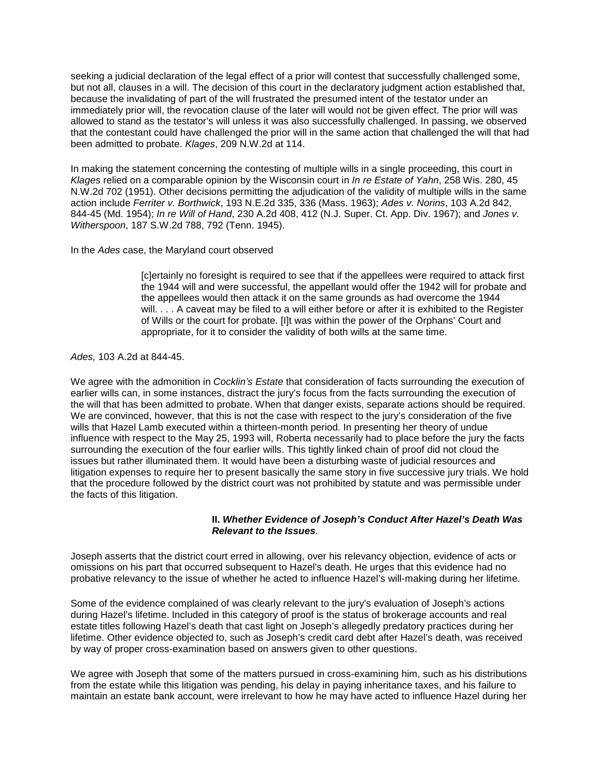seeking a judicial declaration of the legal effect of a prior will contest that successfully challenged some, but not all, clauses in a will. The decision of this court in the declaratory judgment action established that, because the invalidating of part of the will frustrated the presumed intent of the testator under an immediately prior will, the revocation clause of the later will would not be given effect. The prior will was allowed to stand as the testator's will unless it was also successfully challenged. In passing, we observed that the contestant could have challenged the prior will in the same action that challenged the will that had been admitted to probate. *Klages*, 209 N.W.2d at 114.

In making the statement concerning the contesting of multiple wills in a single proceeding, this court in *Klages* relied on a comparable opinion by the Wisconsin court in *In re Estate of Yahn*, 258 Wis. 280, 45 N.W.2d 702 (1951). Other decisions permitting the adjudication of the validity of multiple wills in the same action include *Ferriter v. Borthwick*, 193 N.E.2d 335, 336 (Mass. 1963); *Ades v. Norins*, 103 A.2d 842, 844-45 (Md. 1954); *In re Will of Hand*, 230 A.2d 408, 412 (N.J. Super. Ct. App. Div. 1967); and *Jones v. Witherspoon*, 187 S.W.2d 788, 792 (Tenn. 1945).

In the *Ades* case, the Maryland court observed

[c]ertainly no foresight is required to see that if the appellees were required to attack first the 1944 will and were successful, the appellant would offer the 1942 will for probate and the appellees would then attack it on the same grounds as had overcome the 1944 will. . . . A caveat may be filed to a will either before or after it is exhibited to the Register of Wills or the court for probate. [I]t was within the power of the Orphans' Court and appropriate, for it to consider the validity of both wills at the same time.

*Ades,* 103 A.2d at 844-45.

We agree with the admonition in *Cocklin's Estate* that consideration of facts surrounding the execution of earlier wills can, in some instances, distract the jury's focus from the facts surrounding the execution of the will that has been admitted to probate. When that danger exists, separate actions should be required. We are convinced, however, that this is not the case with respect to the jury's consideration of the five wills that Hazel Lamb executed within a thirteen-month period. In presenting her theory of undue influence with respect to the May 25, 1993 will, Roberta necessarily had to place before the jury the facts surrounding the execution of the four earlier wills. This tightly linked chain of proof did not cloud the issues but rather illuminated them. It would have been a disturbing waste of judicial resources and litigation expenses to require her to present basically the same story in five successive jury trials. We hold that the procedure followed by the district court was not prohibited by statute and was permissible under the facts of this litigation.

#### **II.** *Whether Evidence of Joseph's Conduct After Hazel's Death Was Relevant to the Issues*.

Joseph asserts that the district court erred in allowing, over his relevancy objection, evidence of acts or omissions on his part that occurred subsequent to Hazel's death. He urges that this evidence had no probative relevancy to the issue of whether he acted to influence Hazel's will-making during her lifetime.

Some of the evidence complained of was clearly relevant to the jury's evaluation of Joseph's actions during Hazel's lifetime. Included in this category of proof is the status of brokerage accounts and real estate titles following Hazel's death that cast light on Joseph's allegedly predatory practices during her lifetime. Other evidence objected to, such as Joseph's credit card debt after Hazel's death, was received by way of proper cross-examination based on answers given to other questions.

We agree with Joseph that some of the matters pursued in cross-examining him, such as his distributions from the estate while this litigation was pending, his delay in paying inheritance taxes, and his failure to maintain an estate bank account, were irrelevant to how he may have acted to influence Hazel during her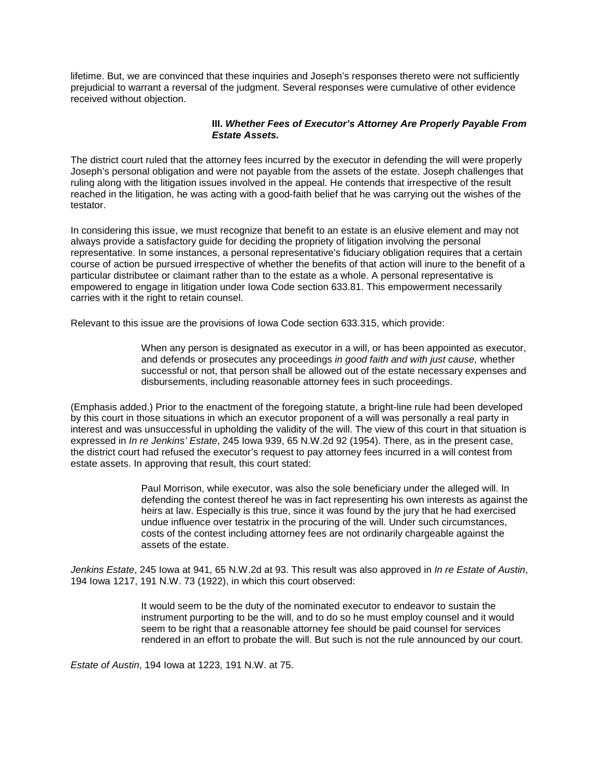lifetime. But, we are convinced that these inquiries and Joseph's responses thereto were not sufficiently prejudicial to warrant a reversal of the judgment. Several responses were cumulative of other evidence received without objection.

#### **III.** *Whether Fees of Executor's Attorney Are Properly Payable From Estate Assets.*

The district court ruled that the attorney fees incurred by the executor in defending the will were properly Joseph's personal obligation and were not payable from the assets of the estate. Joseph challenges that ruling along with the litigation issues involved in the appeal. He contends that irrespective of the result reached in the litigation, he was acting with a good-faith belief that he was carrying out the wishes of the testator.

In considering this issue, we must recognize that benefit to an estate is an elusive element and may not always provide a satisfactory guide for deciding the propriety of litigation involving the personal representative. In some instances, a personal representative's fiduciary obligation requires that a certain course of action be pursued irrespective of whether the benefits of that action will inure to the benefit of a particular distributee or claimant rather than to the estate as a whole. A personal representative is empowered to engage in litigation under Iowa Code section 633.81. This empowerment necessarily carries with it the right to retain counsel.

Relevant to this issue are the provisions of Iowa Code section 633.315, which provide:

When any person is designated as executor in a will, or has been appointed as executor, and defends or prosecutes any proceedings *in good faith and with just cause,* whether successful or not, that person shall be allowed out of the estate necessary expenses and disbursements, including reasonable attorney fees in such proceedings.

(Emphasis added.) Prior to the enactment of the foregoing statute, a bright-line rule had been developed by this court in those situations in which an executor proponent of a will was personally a real party in interest and was unsuccessful in upholding the validity of the will. The view of this court in that situation is expressed in *In re Jenkins' Estate*, 245 Iowa 939, 65 N.W.2d 92 (1954). There, as in the present case, the district court had refused the executor's request to pay attorney fees incurred in a will contest from estate assets. In approving that result, this court stated:

> Paul Morrison, while executor, was also the sole beneficiary under the alleged will. In defending the contest thereof he was in fact representing his own interests as against the heirs at law. Especially is this true, since it was found by the jury that he had exercised undue influence over testatrix in the procuring of the will. Under such circumstances, costs of the contest including attorney fees are not ordinarily chargeable against the assets of the estate.

*Jenkins Estate*, 245 Iowa at 941, 65 N.W.2d at 93. This result was also approved in *In re Estate of Austin*, 194 Iowa 1217, 191 N.W. 73 (1922), in which this court observed:

> It would seem to be the duty of the nominated executor to endeavor to sustain the instrument purporting to be the will, and to do so he must employ counsel and it would seem to be right that a reasonable attorney fee should be paid counsel for services rendered in an effort to probate the will. But such is not the rule announced by our court.

*Estate of Austin*, 194 Iowa at 1223, 191 N.W. at 75.